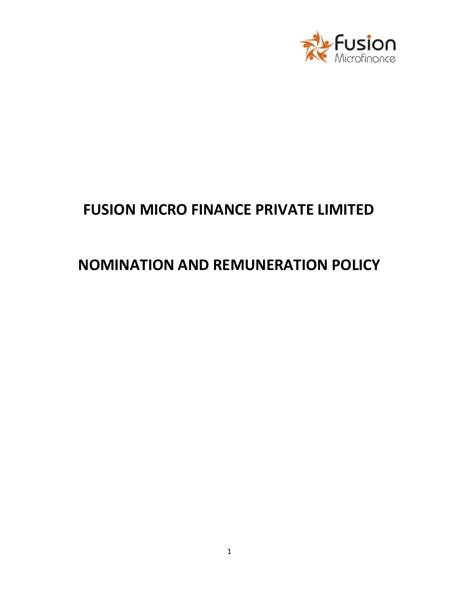

# **FUSION MICRO FINANCE PRIVATE LIMITED**

# **NOMINATION AND REMUNERATION POLICY**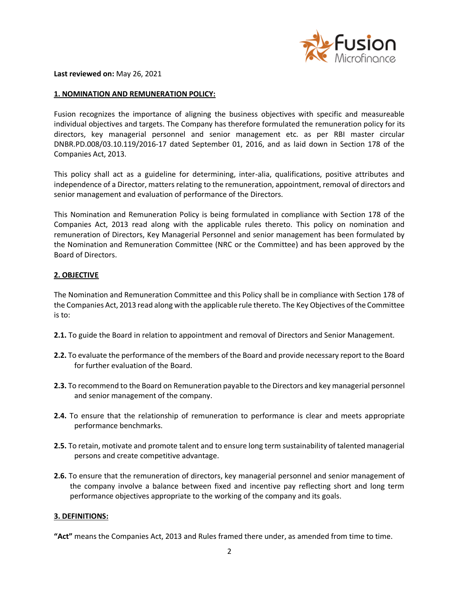

**Last reviewed on:** May 26, 2021

#### **1. NOMINATION AND REMUNERATION POLICY:**

Fusion recognizes the importance of aligning the business objectives with specific and measureable individual objectives and targets. The Company has therefore formulated the remuneration policy for its directors, key managerial personnel and senior management etc. as per RBI master circular DNBR.PD.008/03.10.119/2016-17 dated September 01, 2016, and as laid down in Section 178 of the Companies Act, 2013.

This policy shall act as a guideline for determining, inter-alia, qualifications, positive attributes and independence of a Director, matters relating to the remuneration, appointment, removal of directors and senior management and evaluation of performance of the Directors.

This Nomination and Remuneration Policy is being formulated in compliance with Section 178 of the Companies Act, 2013 read along with the applicable rules thereto. This policy on nomination and remuneration of Directors, Key Managerial Personnel and senior management has been formulated by the Nomination and Remuneration Committee (NRC or the Committee) and has been approved by the Board of Directors.

#### **2. OBJECTIVE**

The Nomination and Remuneration Committee and this Policy shall be in compliance with Section 178 of the Companies Act, 2013 read along with the applicable rule thereto. The Key Objectives of the Committee is to:

- **2.1.** To guide the Board in relation to appointment and removal of Directors and Senior Management.
- **2.2.** To evaluate the performance of the members of the Board and provide necessary report to the Board for further evaluation of the Board.
- **2.3.** To recommend to the Board on Remuneration payable to the Directors and key managerial personnel and senior management of the company.
- **2.4.** To ensure that the relationship of remuneration to performance is clear and meets appropriate performance benchmarks.
- **2.5.** To retain, motivate and promote talent and to ensure long term sustainability of talented managerial persons and create competitive advantage.
- **2.6.** To ensure that the remuneration of directors, key managerial personnel and senior management of the company involve a balance between fixed and incentive pay reflecting short and long term performance objectives appropriate to the working of the company and its goals.

#### **3. DEFINITIONS:**

**"Act"** means the Companies Act, 2013 and Rules framed there under, as amended from time to time.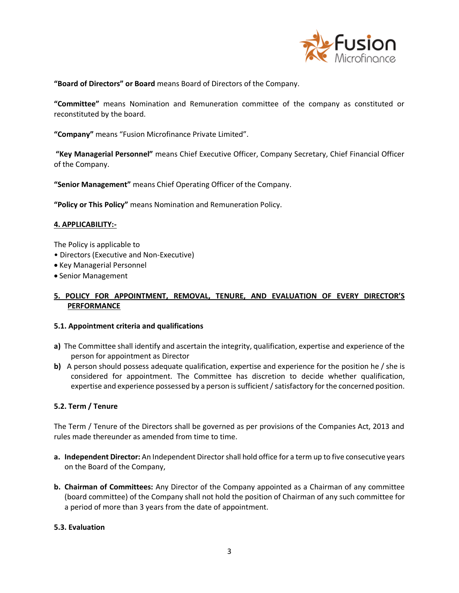

**"Board of Directors" or Board** means Board of Directors of the Company.

**"Committee"** means Nomination and Remuneration committee of the company as constituted or reconstituted by the board.

**"Company"** means "Fusion Microfinance Private Limited".

**"Key Managerial Personnel"** means Chief Executive Officer, Company Secretary, Chief Financial Officer of the Company.

**"Senior Management"** means Chief Operating Officer of the Company.

**"Policy or This Policy"** means Nomination and Remuneration Policy.

#### **4. APPLICABILITY:-**

The Policy is applicable to

- Directors (Executive and Non-Executive)
- Key Managerial Personnel
- Senior Management

## **5. POLICY FOR APPOINTMENT, REMOVAL, TENURE, AND EVALUATION OF EVERY DIRECTOR'S PERFORMANCE**

#### **5.1. Appointment criteria and qualifications**

- **a)** The Committee shall identify and ascertain the integrity, qualification, expertise and experience of the person for appointment as Director
- **b)** A person should possess adequate qualification, expertise and experience for the position he / she is considered for appointment. The Committee has discretion to decide whether qualification, expertise and experience possessed by a person is sufficient / satisfactory for the concerned position.

## **5.2. Term / Tenure**

The Term / Tenure of the Directors shall be governed as per provisions of the Companies Act, 2013 and rules made thereunder as amended from time to time.

- **a. Independent Director:** An Independent Director shall hold office for a term up to five consecutive years on the Board of the Company,
- **b. Chairman of Committees:** Any Director of the Company appointed as a Chairman of any committee (board committee) of the Company shall not hold the position of Chairman of any such committee for a period of more than 3 years from the date of appointment.

#### **5.3. Evaluation**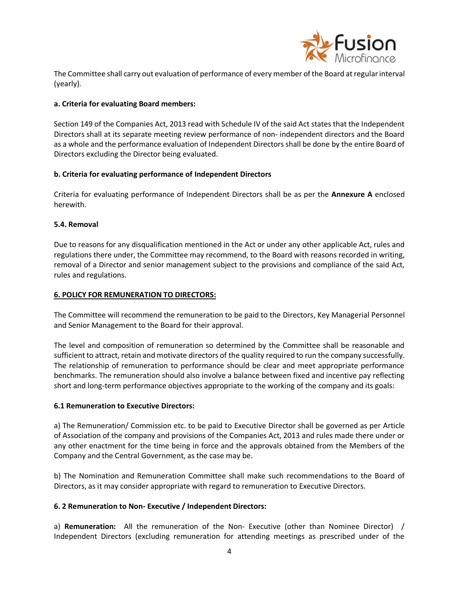

The Committee shall carry out evaluation of performance of every member of the Board at regular interval (yearly).

## **a. Criteria for evaluating Board members:**

Section 149 of the Companies Act, 2013 read with Schedule IV of the said Act states that the Independent Directors shall at its separate meeting review performance of non- independent directors and the Board as a whole and the performance evaluation of Independent Directors shall be done by the entire Board of Directors excluding the Director being evaluated.

#### **b. Criteria for evaluating performance of Independent Directors**

Criteria for evaluating performance of Independent Directors shall be as per the **Annexure A** enclosed herewith.

#### **5.4. Removal**

Due to reasons for any disqualification mentioned in the Act or under any other applicable Act, rules and regulations there under, the Committee may recommend, to the Board with reasons recorded in writing, removal of a Director and senior management subject to the provisions and compliance of the said Act, rules and regulations.

#### **6. POLICY FOR REMUNERATION TO DIRECTORS:**

The Committee will recommend the remuneration to be paid to the Directors, Key Managerial Personnel and Senior Management to the Board for their approval.

The level and composition of remuneration so determined by the Committee shall be reasonable and sufficient to attract, retain and motivate directors of the quality required to run the company successfully. The relationship of remuneration to performance should be clear and meet appropriate performance benchmarks. The remuneration should also involve a balance between fixed and incentive pay reflecting short and long-term performance objectives appropriate to the working of the company and its goals:

## **6.1 Remuneration to Executive Directors:**

a) The Remuneration/ Commission etc. to be paid to Executive Director shall be governed as per Article of Association of the company and provisions of the Companies Act, 2013 and rules made there under or any other enactment for the time being in force and the approvals obtained from the Members of the Company and the Central Government, as the case may be.

b) The Nomination and Remuneration Committee shall make such recommendations to the Board of Directors, as it may consider appropriate with regard to remuneration to Executive Directors.

#### **6. 2 Remuneration to Non- Executive / Independent Directors:**

a) **Remuneration:** All the remuneration of the Non- Executive (other than Nominee Director) / Independent Directors (excluding remuneration for attending meetings as prescribed under of the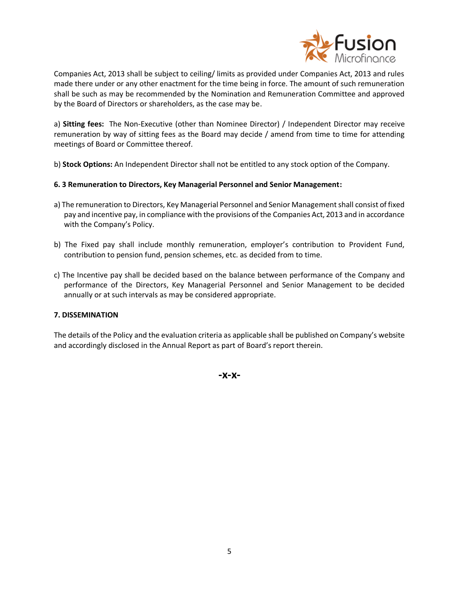

Companies Act, 2013 shall be subject to ceiling/ limits as provided under Companies Act, 2013 and rules made there under or any other enactment for the time being in force. The amount of such remuneration shall be such as may be recommended by the Nomination and Remuneration Committee and approved by the Board of Directors or shareholders, as the case may be.

a) **Sitting fees:** The Non-Executive (other than Nominee Director) / Independent Director may receive remuneration by way of sitting fees as the Board may decide / amend from time to time for attending meetings of Board or Committee thereof.

b) **Stock Options:** An Independent Director shall not be entitled to any stock option of the Company.

## **6. 3 Remuneration to Directors, Key Managerial Personnel and Senior Management:**

- a) The remuneration to Directors, Key Managerial Personnel and Senior Management shall consist of fixed pay and incentive pay, in compliance with the provisions of the Companies Act, 2013 and in accordance with the Company's Policy.
- b) The Fixed pay shall include monthly remuneration, employer's contribution to Provident Fund, contribution to pension fund, pension schemes, etc. as decided from to time.
- c) The Incentive pay shall be decided based on the balance between performance of the Company and performance of the Directors, Key Managerial Personnel and Senior Management to be decided annually or at such intervals as may be considered appropriate.

## **7. DISSEMINATION**

The details of the Policy and the evaluation criteria as applicable shall be published on Company's website and accordingly disclosed in the Annual Report as part of Board's report therein.

**-x-x-**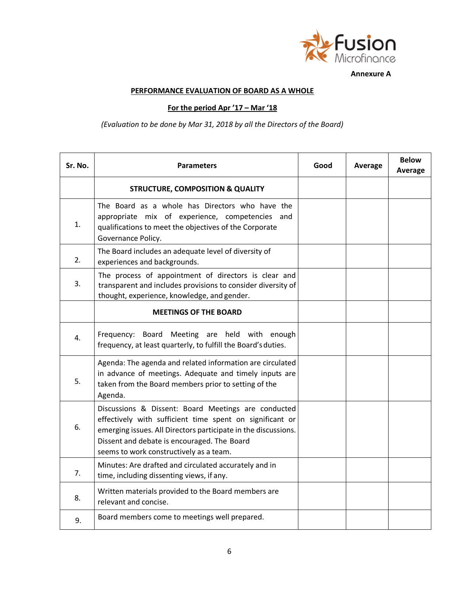

**Annexure A**

# **PERFORMANCE EVALUATION OF BOARD AS A WHOLE**

# **For the period Apr '17 – Mar '18**

*(Evaluation to be done by Mar 31, 2018 by all the Directors of the Board)*

| Sr. No.        | <b>Parameters</b>                                                                                                                                                                                                                                                           | Good | Average | <b>Below</b><br>Average |
|----------------|-----------------------------------------------------------------------------------------------------------------------------------------------------------------------------------------------------------------------------------------------------------------------------|------|---------|-------------------------|
|                | <b>STRUCTURE, COMPOSITION &amp; QUALITY</b>                                                                                                                                                                                                                                 |      |         |                         |
| 1.             | The Board as a whole has Directors who have the<br>appropriate mix of experience, competencies and<br>qualifications to meet the objectives of the Corporate<br>Governance Policy.                                                                                          |      |         |                         |
| 2.             | The Board includes an adequate level of diversity of<br>experiences and backgrounds.                                                                                                                                                                                        |      |         |                         |
| 3.             | The process of appointment of directors is clear and<br>transparent and includes provisions to consider diversity of<br>thought, experience, knowledge, and gender.                                                                                                         |      |         |                         |
|                | <b>MEETINGS OF THE BOARD</b>                                                                                                                                                                                                                                                |      |         |                         |
| 4.             | Frequency: Board Meeting are held with enough<br>frequency, at least quarterly, to fulfill the Board's duties.                                                                                                                                                              |      |         |                         |
| 5.             | Agenda: The agenda and related information are circulated<br>in advance of meetings. Adequate and timely inputs are<br>taken from the Board members prior to setting of the<br>Agenda.                                                                                      |      |         |                         |
| 6.             | Discussions & Dissent: Board Meetings are conducted<br>effectively with sufficient time spent on significant or<br>emerging issues. All Directors participate in the discussions.<br>Dissent and debate is encouraged. The Board<br>seems to work constructively as a team. |      |         |                         |
| 7 <sub>1</sub> | Minutes: Are drafted and circulated accurately and in<br>time, including dissenting views, if any.                                                                                                                                                                          |      |         |                         |
| 8.             | Written materials provided to the Board members are<br>relevant and concise.                                                                                                                                                                                                |      |         |                         |
| 9.             | Board members come to meetings well prepared.                                                                                                                                                                                                                               |      |         |                         |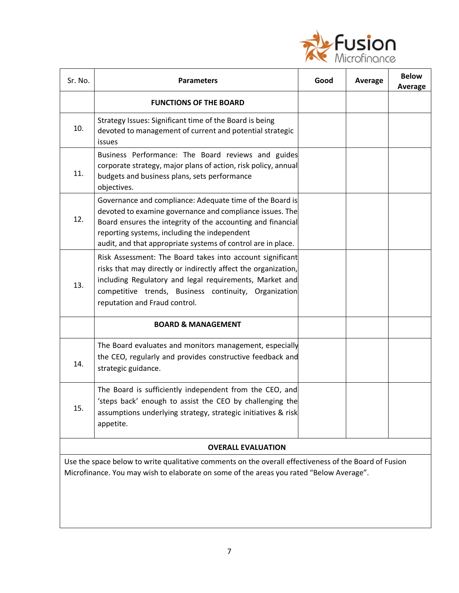

| Sr. No.                                                                                                                                                                                          | <b>Parameters</b>                                                                                                                                                                                                                                                                                   | Good | Average | <b>Below</b><br><b>Average</b> |
|--------------------------------------------------------------------------------------------------------------------------------------------------------------------------------------------------|-----------------------------------------------------------------------------------------------------------------------------------------------------------------------------------------------------------------------------------------------------------------------------------------------------|------|---------|--------------------------------|
|                                                                                                                                                                                                  | <b>FUNCTIONS OF THE BOARD</b>                                                                                                                                                                                                                                                                       |      |         |                                |
| 10.                                                                                                                                                                                              | Strategy Issues: Significant time of the Board is being<br>devoted to management of current and potential strategic<br>issues                                                                                                                                                                       |      |         |                                |
| 11.                                                                                                                                                                                              | Business Performance: The Board reviews and guides<br>corporate strategy, major plans of action, risk policy, annual<br>budgets and business plans, sets performance<br>objectives.                                                                                                                 |      |         |                                |
| 12.                                                                                                                                                                                              | Governance and compliance: Adequate time of the Board is<br>devoted to examine governance and compliance issues. The<br>Board ensures the integrity of the accounting and financial<br>reporting systems, including the independent<br>audit, and that appropriate systems of control are in place. |      |         |                                |
| 13.                                                                                                                                                                                              | Risk Assessment: The Board takes into account significant<br>risks that may directly or indirectly affect the organization,<br>including Regulatory and legal requirements, Market and<br>competitive trends, Business continuity, Organization<br>reputation and Fraud control.                    |      |         |                                |
|                                                                                                                                                                                                  | <b>BOARD &amp; MANAGEMENT</b>                                                                                                                                                                                                                                                                       |      |         |                                |
| 14.                                                                                                                                                                                              | The Board evaluates and monitors management, especially<br>the CEO, regularly and provides constructive feedback and<br>strategic guidance.                                                                                                                                                         |      |         |                                |
| 15.                                                                                                                                                                                              | The Board is sufficiently independent from the CEO, and<br>'steps back' enough to assist the CEO by challenging the<br>assumptions underlying strategy, strategic initiatives & risk<br>appetite.                                                                                                   |      |         |                                |
| <b>OVERALL EVALUATION</b>                                                                                                                                                                        |                                                                                                                                                                                                                                                                                                     |      |         |                                |
| Use the space below to write qualitative comments on the overall effectiveness of the Board of Fusion<br>Microfinance. You may wish to elaborate on some of the areas you rated "Below Average". |                                                                                                                                                                                                                                                                                                     |      |         |                                |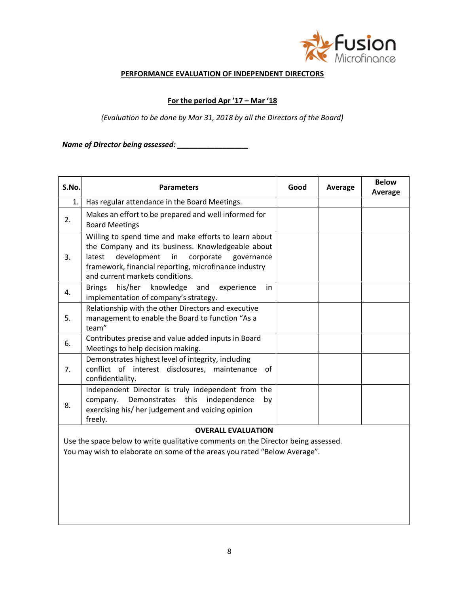

#### **PERFORMANCE EVALUATION OF INDEPENDENT DIRECTORS**

## **For the period Apr '17 – Mar '18**

*(Evaluation to be done by Mar 31, 2018 by all the Directors of the Board)*

*Name of Director being assessed: \_\_\_\_\_\_\_\_\_\_\_\_\_\_\_\_\_*

| S.No.                     | <b>Parameters</b>                                                                                                                                                                                                                                          | Good | Average | <b>Below</b><br>Average |
|---------------------------|------------------------------------------------------------------------------------------------------------------------------------------------------------------------------------------------------------------------------------------------------------|------|---------|-------------------------|
| 1.                        | Has regular attendance in the Board Meetings.                                                                                                                                                                                                              |      |         |                         |
| 2.                        | Makes an effort to be prepared and well informed for<br><b>Board Meetings</b>                                                                                                                                                                              |      |         |                         |
| 3.                        | Willing to spend time and make efforts to learn about<br>the Company and its business. Knowledgeable about<br>latest<br>development in<br>corporate governance<br>framework, financial reporting, microfinance industry<br>and current markets conditions. |      |         |                         |
| 4.                        | Brings his/her knowledge and experience<br>in<br>implementation of company's strategy.                                                                                                                                                                     |      |         |                         |
| 5.                        | Relationship with the other Directors and executive<br>management to enable the Board to function "As a<br>team"                                                                                                                                           |      |         |                         |
| 6.                        | Contributes precise and value added inputs in Board<br>Meetings to help decision making.                                                                                                                                                                   |      |         |                         |
| 7.                        | Demonstrates highest level of integrity, including<br>conflict of interest disclosures, maintenance<br>of<br>confidentiality.                                                                                                                              |      |         |                         |
| 8.                        | Independent Director is truly independent from the<br>company. Demonstrates this independence<br>bv<br>exercising his/ her judgement and voicing opinion<br>freely.                                                                                        |      |         |                         |
| <b>OVERALL EVALUATION</b> |                                                                                                                                                                                                                                                            |      |         |                         |

Use the space below to write qualitative comments on the Director being assessed.

You may wish to elaborate on some of the areas you rated "Below Average".